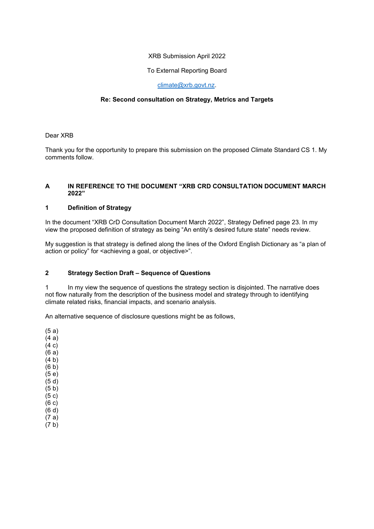## XRB Submission April 2022

## To External Reporting Board

## [climate@xrb.govt.nz.](mailto:climate@xrb.govt.nz)

# **Re: Second consultation on Strategy, Metrics and Targets**

Dear XRB

Thank you for the opportunity to prepare this submission on the proposed Climate Standard CS 1. My comments follow.

## **A IN REFERENCE TO THE DOCUMENT "XRB CRD CONSULTATION DOCUMENT MARCH 2022"**

#### **1 Definition of Strategy**

In the document "XRB CrD Consultation Document March 2022", Strategy Defined page 23. In my view the proposed definition of strategy as being "An entity's desired future state" needs review.

My suggestion is that strategy is defined along the lines of the Oxford English Dictionary as "a plan of action or policy" for <achieving a goal, or objective>".

# **2 Strategy Section Draft – Sequence of Questions**

1 In my view the sequence of questions the strategy section is disjointed. The narrative does not flow naturally from the description of the business model and strategy through to identifying climate related risks, financial impacts, and scenario analysis.

An alternative sequence of disclosure questions might be as follows,

(5 a) (4 a) (4 c) (6 a)

- (4 b)
- (6 b)
- (5 e)
- (5 d)  $(5 b)$
- (5 c)
- (6 c)
- (6 d)
- (7 a) (7 b)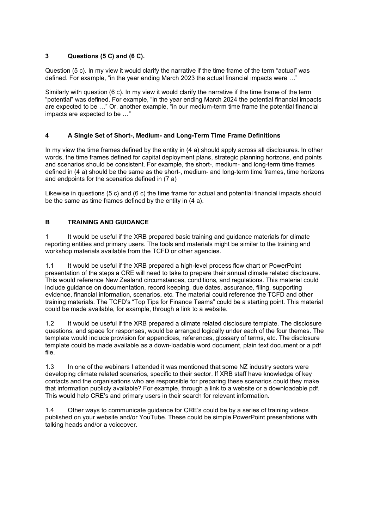# **3 Questions (5 C) and (6 C).**

Question (5 c). In my view it would clarify the narrative if the time frame of the term "actual" was defined. For example, "in the year ending March 2023 the actual financial impacts were …"

Similarly with question (6 c). In my view it would clarify the narrative if the time frame of the term "potential" was defined. For example, "in the year ending March 2024 the potential financial impacts are expected to be …" Or, another example, "in our medium-term time frame the potential financial impacts are expected to be …"

# **4 A Single Set of Short-, Medium- and Long-Term Time Frame Definitions**

In my view the time frames defined by the entity in (4 a) should apply across all disclosures. In other words, the time frames defined for capital deployment plans, strategic planning horizons, end points and scenarios should be consistent. For example, the short-, medium- and long-term time frames defined in (4 a) should be the same as the short-, medium- and long-term time frames, time horizons and endpoints for the scenarios defined in (7 a)

Likewise in questions (5 c) and (6 c) the time frame for actual and potential financial impacts should be the same as time frames defined by the entity in (4 a).

# **B TRAINING AND GUIDANCE**

1 It would be useful if the XRB prepared basic training and guidance materials for climate reporting entities and primary users. The tools and materials might be similar to the training and workshop materials available from the TCFD or other agencies.

1.1 It would be useful if the XRB prepared a high-level process flow chart or PowerPoint presentation of the steps a CRE will need to take to prepare their annual climate related disclosure. This would reference New Zealand circumstances, conditions, and regulations. This material could include guidance on documentation, record keeping, due dates, assurance, filing, supporting evidence, financial information, scenarios, etc. The material could reference the TCFD and other training materials. The TCFD's "Top Tips for Finance Teams" could be a starting point. This material could be made available, for example, through a link to a website.

1.2 It would be useful if the XRB prepared a climate related disclosure template. The disclosure questions, and space for responses, would be arranged logically under each of the four themes. The template would include provision for appendices, references, glossary of terms, etc. The disclosure template could be made available as a down-loadable word document, plain text document or a pdf file.

1.3 In one of the webinars I attended it was mentioned that some NZ industry sectors were developing climate related scenarios, specific to their sector. If XRB staff have knowledge of key contacts and the organisations who are responsible for preparing these scenarios could they make that information publicly available? For example, through a link to a website or a downloadable pdf. This would help CRE's and primary users in their search for relevant information.

1.4 Other ways to communicate guidance for CRE's could be by a series of training videos published on your website and/or YouTube. These could be simple PowerPoint presentations with talking heads and/or a voiceover.